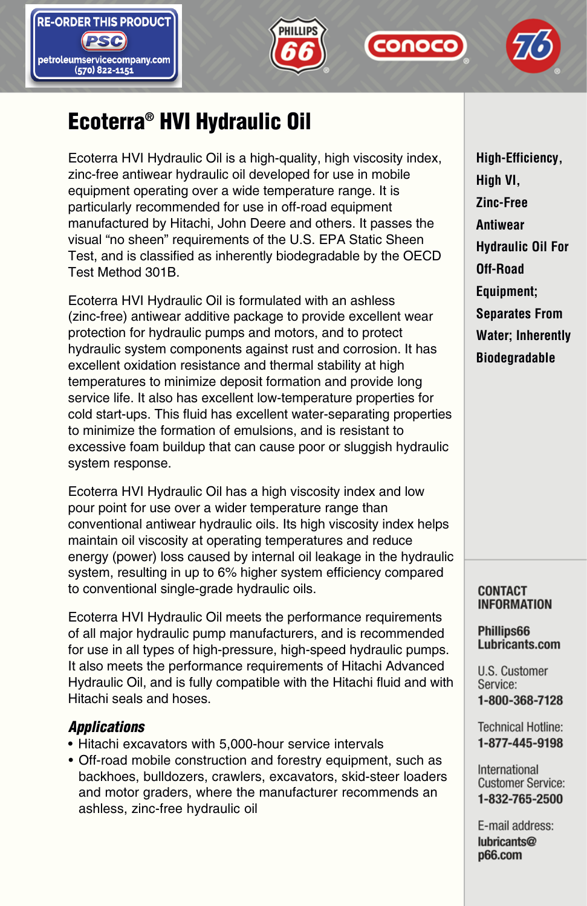







# Ecoterra® HVI Hydraulic Oil

Ecoterra HVI Hydraulic Oil is a high-quality, high viscosity index, zinc-free antiwear hydraulic oil developed for use in mobile equipment operating over a wide temperature range. It is particularly recommended for use in off-road equipment manufactured by Hitachi, John Deere and others. It passes the visual "no sheen" requirements of the U.S. EPA Static Sheen Test, and is classified as inherently biodegradable by the OECD Test Method 301B.

Ecoterra HVI Hydraulic Oil is formulated with an ashless (zinc-free) antiwear additive package to provide excellent wear protection for hydraulic pumps and motors, and to protect hydraulic system components against rust and corrosion. It has excellent oxidation resistance and thermal stability at high temperatures to minimize deposit formation and provide long service life. It also has excellent low-temperature properties for cold start-ups. This fluid has excellent water-separating properties to minimize the formation of emulsions, and is resistant to excessive foam buildup that can cause poor or sluggish hydraulic system response.

Ecoterra HVI Hydraulic Oil has a high viscosity index and low pour point for use over a wider temperature range than conventional antiwear hydraulic oils. Its high viscosity index helps maintain oil viscosity at operating temperatures and reduce energy (power) loss caused by internal oil leakage in the hydraulic system, resulting in up to 6% higher system efficiency compared to conventional single-grade hydraulic oils.

Ecoterra HVI Hydraulic Oil meets the performance requirements of all major hydraulic pump manufacturers, and is recommended for use in all types of high-pressure, high-speed hydraulic pumps. It also meets the performance requirements of Hitachi Advanced Hydraulic Oil, and is fully compatible with the Hitachi fluid and with Hitachi seals and hoses.

## *Applications*

- Hitachi excavators with 5,000-hour service intervals
- Off-road mobile construction and forestry equipment, such as backhoes, bulldozers, crawlers, excavators, skid-steer loaders and motor graders, where the manufacturer recommends an ashless, zinc-free hydraulic oil

**High-Efficiency, High VI, Zinc-Free Antiwear Hydraulic Oil For Off-Road Equipment; Separates From Water; Inherently Biodegradable**

### **CONTACT INFORMATION**

## Phillips66 Lubricants.com

U.S. Customer Service: 1-800-368-7128

**Technical Hotline:** 1-877-445-9198

International **Customer Service:** 1-832-765-2500

E-mail address: lubricants@ **p66.com**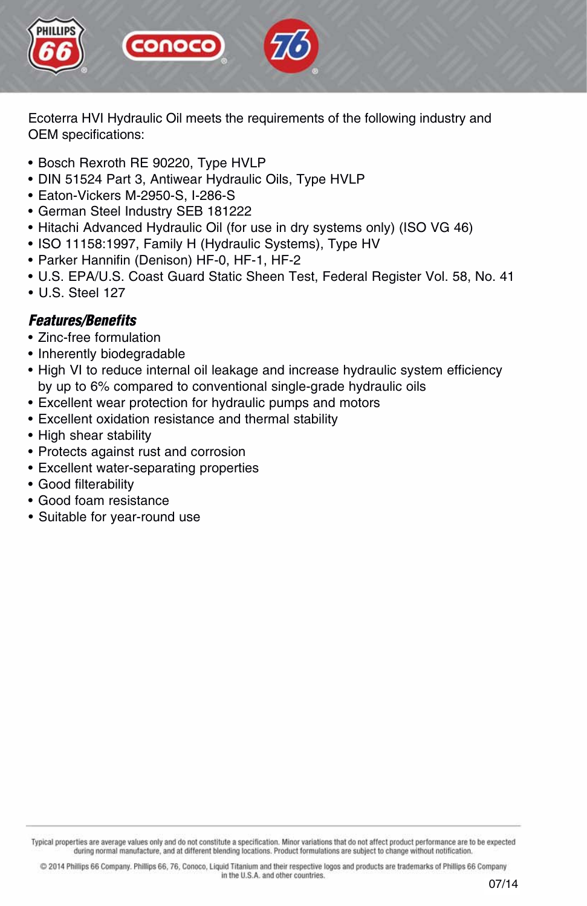

Ecoterra HVI Hydraulic Oil meets the requirements of the following industry and OEM specifications:

- Bosch Rexroth RE 90220, Type HVLP
- DIN 51524 Part 3, Antiwear Hydraulic Oils, Type HVLP
- Eaton-Vickers M-2950-S, I-286-S
- German Steel Industry SEB 181222
- Hitachi Advanced Hydraulic Oil (for use in dry systems only) (ISO VG 46)
- ISO 11158:1997, Family H (Hydraulic Systems), Type HV
- Parker Hannifin (Denison) HF-0, HF-1, HF-2
- U.S. EPA/U.S. Coast Guard Static Sheen Test, Federal Register Vol. 58, No. 41
- U.S. Steel 127

## *Features/Benefits*

- Zinc-free formulation
- Inherently biodegradable
- High VI to reduce internal oil leakage and increase hydraulic system efficiency by up to 6% compared to conventional single-grade hydraulic oils
- Excellent wear protection for hydraulic pumps and motors
- Excellent oxidation resistance and thermal stability
- High shear stability
- Protects against rust and corrosion
- Excellent water-separating properties
- Good filterability
- Good foam resistance
- Suitable for year-round use

Typical properties are average values only and do not constitute a specification. Minor variations that do not affect product performance are to be expected during normal manufacture, and at different blending locations. Product formulations are subject to change without notification.